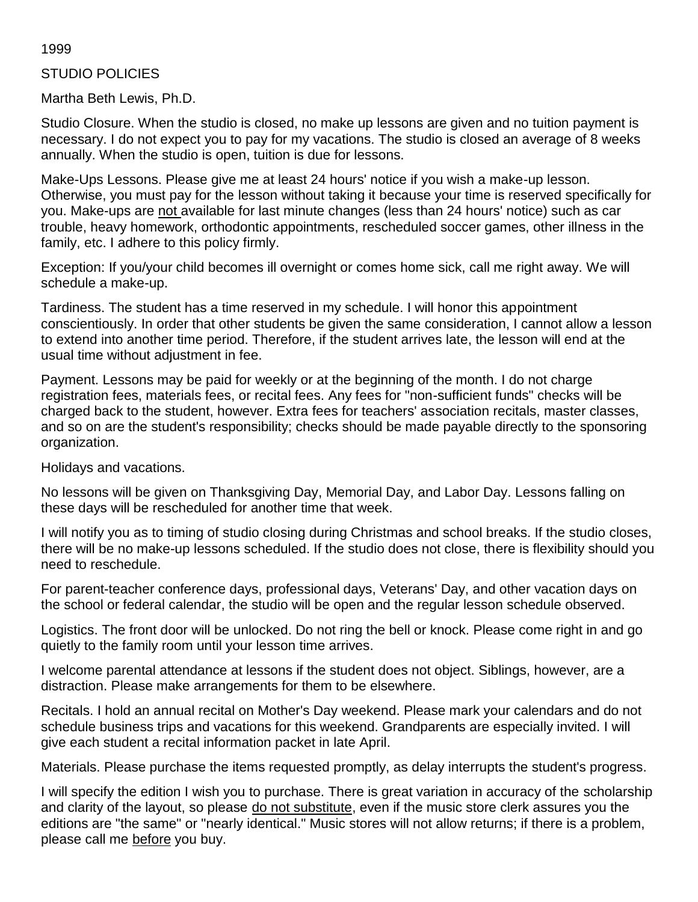#### 1999

#### STUDIO POLICIES

Martha Beth Lewis, Ph.D.

Studio Closure. When the studio is closed, no make up lessons are given and no tuition payment is necessary. I do not expect you to pay for my vacations. The studio is closed an average of 8 weeks annually. When the studio is open, tuition is due for lessons.

Make-Ups Lessons. Please give me at least 24 hours' notice if you wish a make-up lesson. Otherwise, you must pay for the lesson without taking it because your time is reserved specifically for you. Make-ups are not available for last minute changes (less than 24 hours' notice) such as car trouble, heavy homework, orthodontic appointments, rescheduled soccer games, other illness in the family, etc. I adhere to this policy firmly.

Exception: If you/your child becomes ill overnight or comes home sick, call me right away. We will schedule a make-up.

Tardiness. The student has a time reserved in my schedule. I will honor this appointment conscientiously. In order that other students be given the same consideration, I cannot allow a lesson to extend into another time period. Therefore, if the student arrives late, the lesson will end at the usual time without adjustment in fee.

Payment. Lessons may be paid for weekly or at the beginning of the month. I do not charge registration fees, materials fees, or recital fees. Any fees for "non-sufficient funds" checks will be charged back to the student, however. Extra fees for teachers' association recitals, master classes, and so on are the student's responsibility; checks should be made payable directly to the sponsoring organization.

Holidays and vacations.

No lessons will be given on Thanksgiving Day, Memorial Day, and Labor Day. Lessons falling on these days will be rescheduled for another time that week.

I will notify you as to timing of studio closing during Christmas and school breaks. If the studio closes, there will be no make-up lessons scheduled. If the studio does not close, there is flexibility should you need to reschedule.

For parent-teacher conference days, professional days, Veterans' Day, and other vacation days on the school or federal calendar, the studio will be open and the regular lesson schedule observed.

Logistics. The front door will be unlocked. Do not ring the bell or knock. Please come right in and go quietly to the family room until your lesson time arrives.

I welcome parental attendance at lessons if the student does not object. Siblings, however, are a distraction. Please make arrangements for them to be elsewhere.

Recitals. I hold an annual recital on Mother's Day weekend. Please mark your calendars and do not schedule business trips and vacations for this weekend. Grandparents are especially invited. I will give each student a recital information packet in late April.

Materials. Please purchase the items requested promptly, as delay interrupts the student's progress.

I will specify the edition I wish you to purchase. There is great variation in accuracy of the scholarship and clarity of the layout, so please do not substitute, even if the music store clerk assures you the editions are "the same" or "nearly identical." Music stores will not allow returns; if there is a problem, please call me before you buy.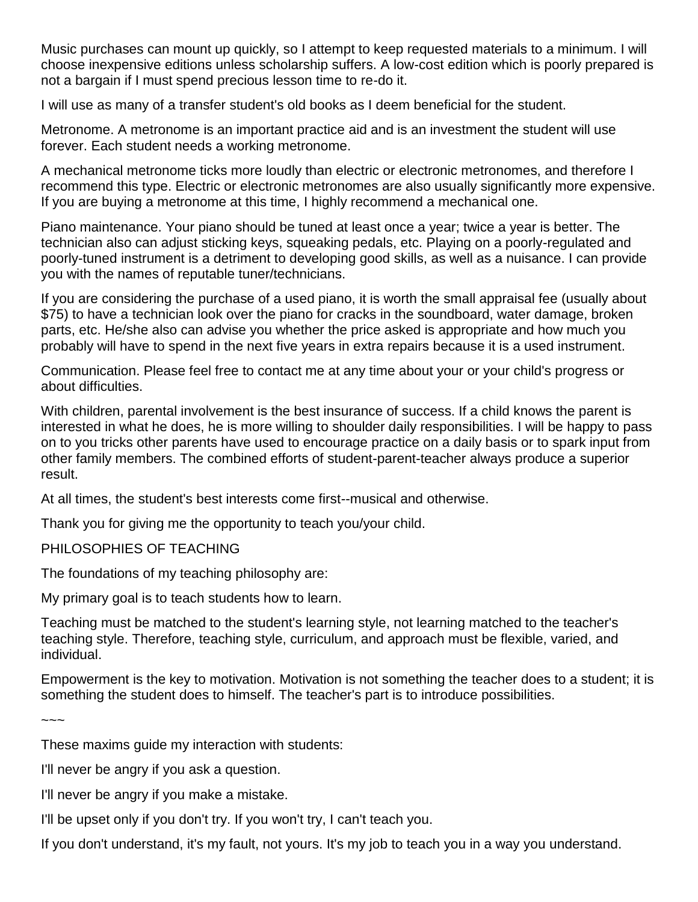Music purchases can mount up quickly, so I attempt to keep requested materials to a minimum. I will choose inexpensive editions unless scholarship suffers. A low-cost edition which is poorly prepared is not a bargain if I must spend precious lesson time to re-do it.

I will use as many of a transfer student's old books as I deem beneficial for the student.

Metronome. A metronome is an important practice aid and is an investment the student will use forever. Each student needs a working metronome.

A mechanical metronome ticks more loudly than electric or electronic metronomes, and therefore I recommend this type. Electric or electronic metronomes are also usually significantly more expensive. If you are buying a metronome at this time, I highly recommend a mechanical one.

Piano maintenance. Your piano should be tuned at least once a year; twice a year is better. The technician also can adjust sticking keys, squeaking pedals, etc. Playing on a poorly-regulated and poorly-tuned instrument is a detriment to developing good skills, as well as a nuisance. I can provide you with the names of reputable tuner/technicians.

If you are considering the purchase of a used piano, it is worth the small appraisal fee (usually about \$75) to have a technician look over the piano for cracks in the soundboard, water damage, broken parts, etc. He/she also can advise you whether the price asked is appropriate and how much you probably will have to spend in the next five years in extra repairs because it is a used instrument.

Communication. Please feel free to contact me at any time about your or your child's progress or about difficulties.

With children, parental involvement is the best insurance of success. If a child knows the parent is interested in what he does, he is more willing to shoulder daily responsibilities. I will be happy to pass on to you tricks other parents have used to encourage practice on a daily basis or to spark input from other family members. The combined efforts of student-parent-teacher always produce a superior result.

At all times, the student's best interests come first--musical and otherwise.

Thank you for giving me the opportunity to teach you/your child.

PHILOSOPHIES OF TEACHING

The foundations of my teaching philosophy are:

My primary goal is to teach students how to learn.

Teaching must be matched to the student's learning style, not learning matched to the teacher's teaching style. Therefore, teaching style, curriculum, and approach must be flexible, varied, and individual.

Empowerment is the key to motivation. Motivation is not something the teacher does to a student; it is something the student does to himself. The teacher's part is to introduce possibilities.

~~~

These maxims guide my interaction with students:

I'll never be angry if you ask a question.

I'll never be angry if you make a mistake.

I'll be upset only if you don't try. If you won't try, I can't teach you.

If you don't understand, it's my fault, not yours. It's my job to teach you in a way you understand.